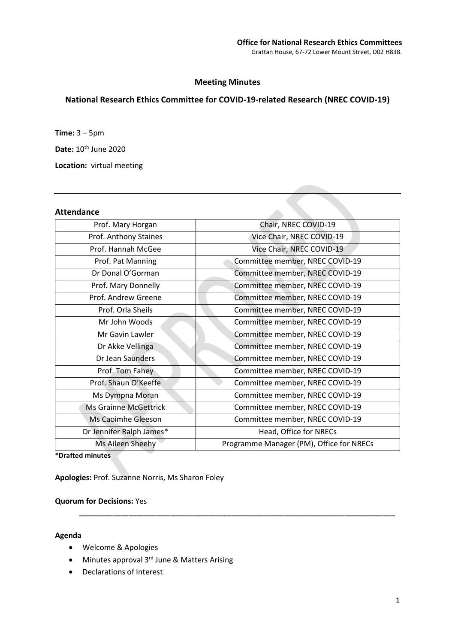# Meeting Minutes

# National Research Ethics Committee for COVID-19-related Research (NREC COVID-19)

Time: 3 – 5pm

Date: 10<sup>th</sup> June 2020

Location: virtual meeting

## Attendance

| Prof. Mary Horgan        | Chair, NREC COVID-19                     |
|--------------------------|------------------------------------------|
| Prof. Anthony Staines    | Vice Chair, NREC COVID-19                |
| Prof. Hannah McGee       | Vice Chair, NREC COVID-19                |
| Prof. Pat Manning        | Committee member, NREC COVID-19          |
| Dr Donal O'Gorman        | Committee member, NREC COVID-19          |
| Prof. Mary Donnelly      | Committee member, NREC COVID-19          |
| Prof. Andrew Greene      | Committee member, NREC COVID-19          |
| Prof. Orla Sheils        | Committee member, NREC COVID-19          |
| Mr John Woods            | Committee member, NREC COVID-19          |
| Mr Gavin Lawler          | Committee member, NREC COVID-19          |
| Dr Akke Vellinga         | Committee member, NREC COVID-19          |
| Dr Jean Saunders         | Committee member, NREC COVID-19          |
| Prof. Tom Fahey          | Committee member, NREC COVID-19          |
| Prof. Shaun O'Keeffe     | Committee member, NREC COVID-19          |
| Ms Dympna Moran          | Committee member, NREC COVID-19          |
| Ms Grainne McGettrick    | Committee member, NREC COVID-19          |
| Ms Caoimhe Gleeson       | Committee member, NREC COVID-19          |
| Dr Jennifer Ralph James* | Head, Office for NRECs                   |
| Ms Aileen Sheehy         | Programme Manager (PM), Office for NRECs |
|                          |                                          |

\_\_\_\_\_\_\_\_\_\_\_\_\_\_\_\_\_\_\_\_\_\_\_\_\_\_\_\_\_\_\_\_\_\_\_\_\_\_\_\_\_\_\_\_\_\_\_\_\_\_\_\_\_\_\_\_\_\_\_\_\_\_\_\_\_\_\_\_\_\_\_\_\_\_\_\_\_\_\_\_\_\_\_

\*Drafted minutes

Apologies: Prof. Suzanne Norris, Ms Sharon Foley

## Quorum for Decisions: Yes

#### Agenda

- Welcome & Apologies
- $\bullet$  Minutes approval 3<sup>rd</sup> June & Matters Arising
- Declarations of Interest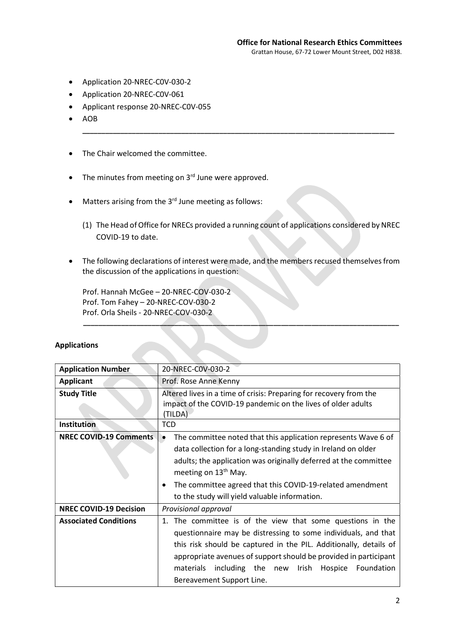- Application 20-NREC-C0V-030-2
- Application 20-NREC-C0V-061
- Applicant response 20-NREC-C0V-055
- AOB
- The Chair welcomed the committee.
- $\bullet$  The minutes from meeting on 3 $^{rd}$  June were approved.
- Matters arising from the 3<sup>rd</sup> June meeting as follows:
	- (1) The Head of Office for NRECs provided a running count of applications considered by NREC COVID-19 to date.

\_\_\_\_\_\_\_\_\_\_\_\_\_\_\_\_\_\_\_\_\_\_\_\_\_\_\_\_\_\_\_\_\_\_\_\_\_\_\_\_\_\_\_\_\_\_\_\_\_\_\_\_\_\_\_\_\_\_\_\_\_\_\_\_\_\_\_\_\_\_\_\_\_\_\_\_\_\_\_\_\_\_

 The following declarations of interest were made, and the members recused themselves from the discussion of the applications in question:

\_\_\_\_\_\_\_\_\_\_\_\_\_\_\_\_\_\_\_\_\_\_\_\_\_\_\_\_\_\_\_\_\_\_\_\_\_\_\_\_\_\_\_\_\_\_\_\_\_\_\_\_\_\_\_\_\_\_\_\_\_\_\_\_\_\_\_\_\_\_\_\_\_\_\_\_\_\_\_\_\_\_\_

Prof. Hannah McGee – 20-NREC-COV-030-2 Prof. Tom Fahey – 20-NREC-COV-030-2 Prof. Orla Sheils - 20-NREC-COV-030-2

| <b>Application Number</b>     | 20-NREC-COV-030-2                                                                                                                                                                                                                                                                                                                                                      |
|-------------------------------|------------------------------------------------------------------------------------------------------------------------------------------------------------------------------------------------------------------------------------------------------------------------------------------------------------------------------------------------------------------------|
| <b>Applicant</b>              | Prof. Rose Anne Kenny                                                                                                                                                                                                                                                                                                                                                  |
| <b>Study Title</b>            | Altered lives in a time of crisis: Preparing for recovery from the<br>impact of the COVID-19 pandemic on the lives of older adults<br>(TILDA)                                                                                                                                                                                                                          |
| <b>Institution</b>            | <b>TCD</b>                                                                                                                                                                                                                                                                                                                                                             |
| <b>NREC COVID-19 Comments</b> | The committee noted that this application represents Wave 6 of<br>data collection for a long-standing study in Ireland on older<br>adults; the application was originally deferred at the committee<br>meeting on 13 <sup>th</sup> May.<br>The committee agreed that this COVID-19-related amendment<br>to the study will yield valuable information.                  |
| <b>NREC COVID-19 Decision</b> | Provisional approval                                                                                                                                                                                                                                                                                                                                                   |
| <b>Associated Conditions</b>  | 1. The committee is of the view that some questions in the<br>questionnaire may be distressing to some individuals, and that<br>this risk should be captured in the PIL. Additionally, details of<br>appropriate avenues of support should be provided in participant<br>including the new<br>Irish<br>materials<br>Hospice<br>Foundation<br>Bereavement Support Line. |

#### Applications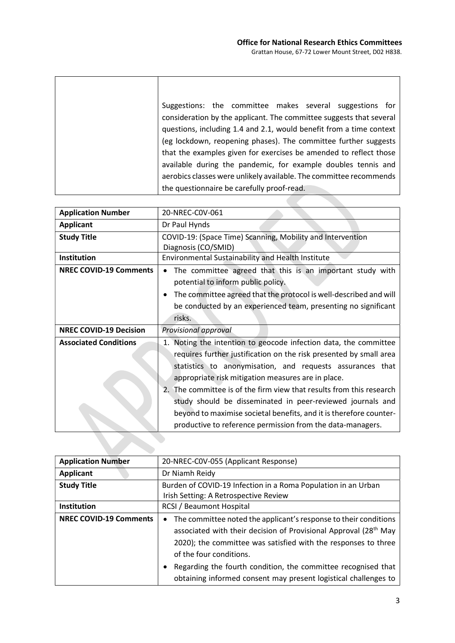| Suggestions: the committee makes several suggestions for<br>consideration by the applicant. The committee suggests that several<br>questions, including 1.4 and 2.1, would benefit from a time context |
|--------------------------------------------------------------------------------------------------------------------------------------------------------------------------------------------------------|
| (eg lockdown, reopening phases). The committee further suggests                                                                                                                                        |
| that the examples given for exercises be amended to reflect those                                                                                                                                      |
| available during the pandemic, for example doubles tennis and                                                                                                                                          |
| aerobics classes were unlikely available. The committee recommends                                                                                                                                     |
| the questionnaire be carefully proof-read.                                                                                                                                                             |

r

| Dr Paul Hynds                                                                                                                                                                                                                                                                                                                                                                                                                                                                                                                       |
|-------------------------------------------------------------------------------------------------------------------------------------------------------------------------------------------------------------------------------------------------------------------------------------------------------------------------------------------------------------------------------------------------------------------------------------------------------------------------------------------------------------------------------------|
| COVID-19: (Space Time) Scanning, Mobility and Intervention<br>Diagnosis (CO/SMID)                                                                                                                                                                                                                                                                                                                                                                                                                                                   |
| Environmental Sustainability and Health Institute                                                                                                                                                                                                                                                                                                                                                                                                                                                                                   |
| The committee agreed that this is an important study with<br>potential to inform public policy.<br>The committee agreed that the protocol is well-described and will<br>be conducted by an experienced team, presenting no significant                                                                                                                                                                                                                                                                                              |
| Provisional approval                                                                                                                                                                                                                                                                                                                                                                                                                                                                                                                |
| 1. Noting the intention to geocode infection data, the committee<br>requires further justification on the risk presented by small area<br>statistics to anonymisation, and requests assurances that<br>appropriate risk mitigation measures are in place.<br>2. The committee is of the firm view that results from this research<br>study should be disseminated in peer-reviewed journals and<br>beyond to maximise societal benefits, and it is therefore counter-<br>productive to reference permission from the data-managers. |
|                                                                                                                                                                                                                                                                                                                                                                                                                                                                                                                                     |

| <b>Application Number</b>     | 20-NREC-COV-055 (Applicant Response)                                                                                                                                                                                                            |
|-------------------------------|-------------------------------------------------------------------------------------------------------------------------------------------------------------------------------------------------------------------------------------------------|
| <b>Applicant</b>              | Dr Niamh Reidy                                                                                                                                                                                                                                  |
| <b>Study Title</b>            | Burden of COVID-19 Infection in a Roma Population in an Urban                                                                                                                                                                                   |
|                               | Irish Setting: A Retrospective Review                                                                                                                                                                                                           |
| Institution                   | <b>RCSI / Beaumont Hospital</b>                                                                                                                                                                                                                 |
| <b>NREC COVID-19 Comments</b> | • The committee noted the applicant's response to their conditions<br>associated with their decision of Provisional Approval (28 <sup>th</sup> May<br>2020); the committee was satisfied with the responses to three<br>of the four conditions. |
|                               | Regarding the fourth condition, the committee recognised that<br>obtaining informed consent may present logistical challenges to                                                                                                                |